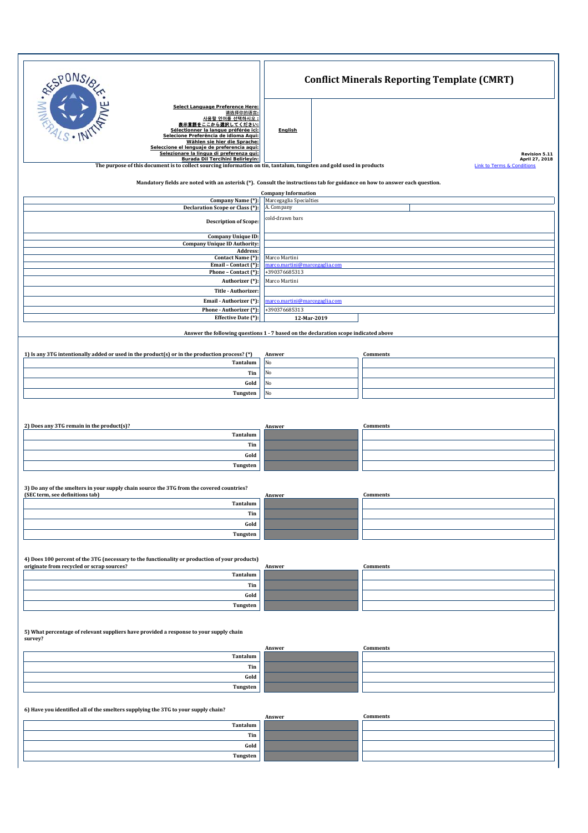| <b>SPONSIA</b>                                                                                                                                                                                                                                                                                                                     | <b>Conflict Minerals Reporting Template (CMRT)</b> |               |                                       |  |
|------------------------------------------------------------------------------------------------------------------------------------------------------------------------------------------------------------------------------------------------------------------------------------------------------------------------------------|----------------------------------------------------|---------------|---------------------------------------|--|
| Select Language Preference Here:<br>请选择你的语言:<br>사용할 언어를 선택하시오<br>表示言語をここから選択してください<br>Sélectionner la langue préférée ici:<br>Selecione Preferência de idioma Aqui:<br>Wählen sie hier die Sprache:<br>Seleccione el lenguaje de preferencia aqui:<br>Selezionare la lingua di preferenza qui:<br>Burada Dil Tercihini Belirleyin: | <b>English</b>                                     |               | Revision 5.11<br>April 27, 2018       |  |
| The purpose of this document is to collect sourcing information on tin, tantalum, tungsten and gold used in products                                                                                                                                                                                                               |                                                    |               | <b>Link to Terms &amp; Conditions</b> |  |
| Mandatory fields are noted with an asterisk (*). Consult the instructions tab for guidance on how to answer each question.                                                                                                                                                                                                         | <b>Company Information</b>                         |               |                                       |  |
| Company Name (*):<br>Declaration Scope or Class (*):                                                                                                                                                                                                                                                                               | Marcegaglia Specialties<br>A. Company              |               |                                       |  |
| <b>Description of Scope:</b>                                                                                                                                                                                                                                                                                                       | cold-drawn bars                                    |               |                                       |  |
| Company Unique ID:<br><b>Company Unique ID Authority:</b><br>Address:                                                                                                                                                                                                                                                              |                                                    |               |                                       |  |
| Contact Name (*):<br>Email - Contact (*):                                                                                                                                                                                                                                                                                          | Marco Martini<br>marco.martini@marcegaglia.com     |               |                                       |  |
| Phone - Contact (*):                                                                                                                                                                                                                                                                                                               | +390376685313                                      |               |                                       |  |
| Authorizer (*):<br>Title - Authorizer:                                                                                                                                                                                                                                                                                             |                                                    | Marco Martini |                                       |  |
| Email - Authorizer (*):                                                                                                                                                                                                                                                                                                            | marco.martini@marcegaglia.com                      |               |                                       |  |
| Phone - Authorizer (*):<br>Effective Date (*):                                                                                                                                                                                                                                                                                     | +390376685313<br>12-Mar-2019                       |               |                                       |  |
| Answer the following questions 1 - 7 based on the declaration scope indicated above                                                                                                                                                                                                                                                |                                                    |               |                                       |  |
| 1) Is any 3TG intentionally added or used in the product(s) or in the production process? (*)                                                                                                                                                                                                                                      | Answer                                             |               | Comments                              |  |
| Tantalum                                                                                                                                                                                                                                                                                                                           | No                                                 |               |                                       |  |
| Tin                                                                                                                                                                                                                                                                                                                                | No                                                 |               |                                       |  |
| Gold<br>Tungsten                                                                                                                                                                                                                                                                                                                   | No<br>No                                           |               |                                       |  |
|                                                                                                                                                                                                                                                                                                                                    |                                                    |               |                                       |  |
|                                                                                                                                                                                                                                                                                                                                    |                                                    |               |                                       |  |
| 2) Does any 3TG remain in the product(s)?<br>Tantalum                                                                                                                                                                                                                                                                              | Answer                                             |               | <b>Comments</b>                       |  |
| Tin                                                                                                                                                                                                                                                                                                                                |                                                    |               |                                       |  |
| Gold                                                                                                                                                                                                                                                                                                                               |                                                    |               |                                       |  |
| Tungsten                                                                                                                                                                                                                                                                                                                           |                                                    |               |                                       |  |
| 3) Do any of the smelters in your supply chain source the 3TG from the covered countries?                                                                                                                                                                                                                                          |                                                    |               |                                       |  |
| (SEC term, see definitions tab)<br>Tantalum                                                                                                                                                                                                                                                                                        | Answer                                             |               | Comments                              |  |
| Tin                                                                                                                                                                                                                                                                                                                                |                                                    |               |                                       |  |
| Gold                                                                                                                                                                                                                                                                                                                               |                                                    |               |                                       |  |
| Tungsten                                                                                                                                                                                                                                                                                                                           |                                                    |               |                                       |  |
|                                                                                                                                                                                                                                                                                                                                    |                                                    |               |                                       |  |
| 4) Does 100 percent of the 3TG (necessary to the functionality or production of your products)<br>originate from recycled or scrap sources?                                                                                                                                                                                        | Answer                                             |               | Comments                              |  |
| Tantalum<br>Tin                                                                                                                                                                                                                                                                                                                    |                                                    |               |                                       |  |
| Gold                                                                                                                                                                                                                                                                                                                               |                                                    |               |                                       |  |
| Tungsten                                                                                                                                                                                                                                                                                                                           |                                                    |               |                                       |  |
| 5) What percentage of relevant suppliers have provided a response to your supply chain                                                                                                                                                                                                                                             |                                                    |               |                                       |  |
| survey?                                                                                                                                                                                                                                                                                                                            | Answer                                             |               | <b>Comments</b>                       |  |
| Tantalum                                                                                                                                                                                                                                                                                                                           |                                                    |               |                                       |  |
| Tin<br>Gold                                                                                                                                                                                                                                                                                                                        |                                                    |               |                                       |  |
| Tungsten                                                                                                                                                                                                                                                                                                                           |                                                    |               |                                       |  |
| 6) Have you identified all of the smelters supplying the 3TG to your supply chain?                                                                                                                                                                                                                                                 |                                                    |               |                                       |  |
| Tantalum                                                                                                                                                                                                                                                                                                                           | Answer                                             |               | <b>Comments</b>                       |  |
| Tin                                                                                                                                                                                                                                                                                                                                |                                                    |               |                                       |  |
| Gold                                                                                                                                                                                                                                                                                                                               |                                                    |               |                                       |  |
| Tungsten                                                                                                                                                                                                                                                                                                                           |                                                    |               |                                       |  |
|                                                                                                                                                                                                                                                                                                                                    |                                                    |               |                                       |  |